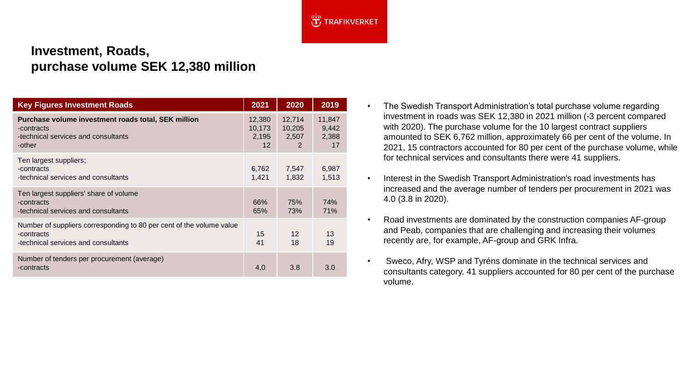

## **Investment, Roads, purchase volume SEK 12,380 million**

| <b>Key Figures Investment Roads</b>                                                                                       | 2021                                           | 2020                           | 2019                           |
|---------------------------------------------------------------------------------------------------------------------------|------------------------------------------------|--------------------------------|--------------------------------|
| Purchase volume investment roads total, SEK million<br>-contracts<br>-technical services and consultants<br>-other        | 12,380<br>10,173<br>2,195<br>$12 \overline{ }$ | 12,714<br>10,205<br>2,507<br>2 | 11,847<br>9,442<br>2,388<br>17 |
| Ten largest suppliers;<br>-contracts<br>-technical services and consultants                                               | 6,762<br>1,421                                 | 7,547<br>1,832                 | 6,987<br>1,513                 |
| Ten largest suppliers' share of volume<br>-contracts<br>-technical services and consultants                               | 66%<br>65%                                     | 75%<br>73%                     | 74%<br>71%                     |
| Number of suppliers corresponding to 80 per cent of the volume value<br>-contracts<br>-technical services and consultants | 15<br>41                                       | $12 \overline{ }$<br>18        | 13<br>19                       |
| Number of tenders per procurement (average)<br>-contracts                                                                 | 4,0                                            | 3.8                            | 3.0                            |

- The Swedish Transport Administration's total purchase volume regarding investment in roads was SEK 12,380 in 2021 million (-3 percent compared with 2020). The purchase volume for the 10 largest contract suppliers amounted to SEK 6,762 million, approximately 66 per cent of the volume. In 2021, 15 contractors accounted for 80 per cent of the purchase volume, while for technical services and consultants there were 41 suppliers.
- Interest in the Swedish Transport Administration's road investments has increased and the average number of tenders per procurement in 2021 was 4.0 (3.8 in 2020).
- Road investments are dominated by the construction companies AF-group and Peab, companies that are challenging and increasing their volumes recently are, for example, AF-group and GRK Infra.
- Sweco, Afry, WSP and Tyréns dominate in the technical services and consultants category. 41 suppliers accounted for 80 per cent of the purchase volume.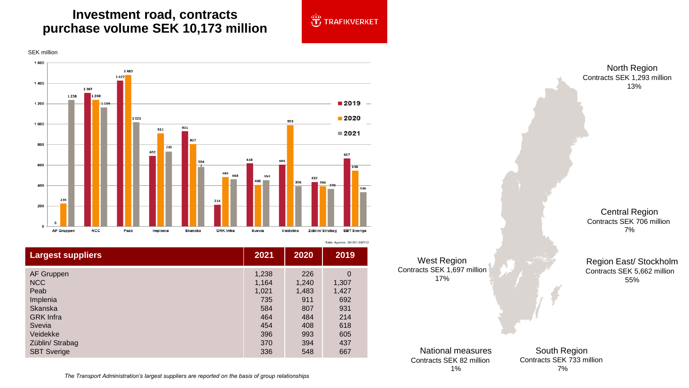## **Investment road, contracts purchase volume SEK 10,173 million**





| <b>Largest suppliers</b> | 2021  | 2020  | 2019           |
|--------------------------|-------|-------|----------------|
| AF Gruppen               | 1,238 | 226   | $\overline{0}$ |
| <b>NCC</b>               | 1,164 | 1,240 | 1,307          |
| Peab                     | 1,021 | 1,483 | 1,427          |
| Implenia                 | 735   | 911   | 692            |
| <b>Skanska</b>           | 584   | 807   | 931            |
| <b>GRK</b> Infra         | 464   | 484   | 214            |
| Svevia                   | 454   | 408   | 618            |
| Veidekke                 | 396   | 993   | 605            |
| Züblin/ Strabag          | 370   | 394   | 437            |
| <b>SBT Sverige</b>       | 336   | 548   | 667            |

West Region Contracts SEK 1,697 million 17%

North Region Contracts SEK 1,293 million 13%

Central Region Contracts SEK 706 million 7%

Region East/ Stockholm Contracts SEK 5,662 million 55%

National measures Contracts SEK 82 million 1%

South Region Contracts SEK 733 million 7%

*The Transport Administration's largest suppliers are reported on the basis of group relationships*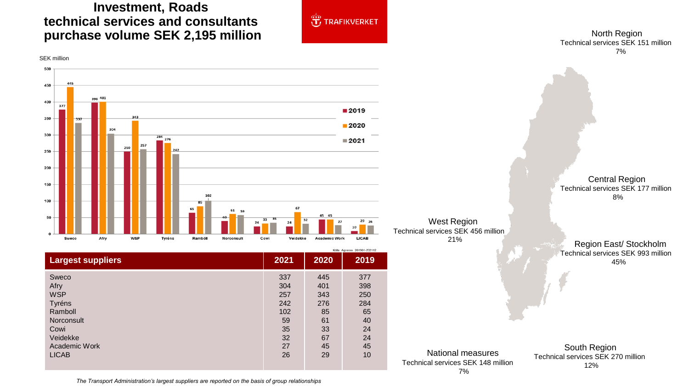## **Investment, Roads technical services and consultants purchase volume SEK 2,195 million**



North Region Technical services SEK 151 million 7%



*The Transport Administration's largest suppliers are reported on the basis of group relationships*